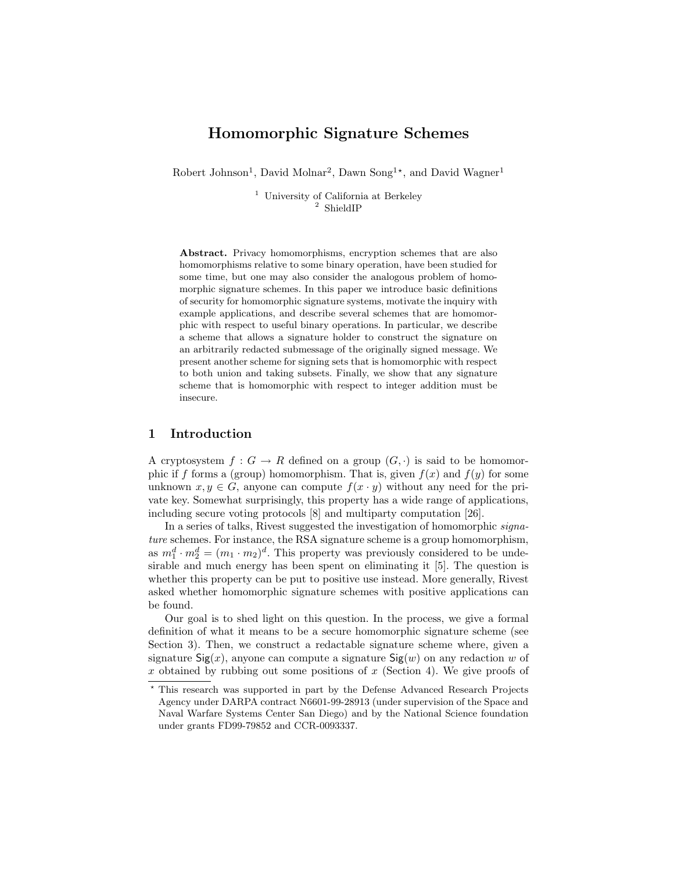# Homomorphic Signature Schemes

Robert Johnson<sup>1</sup>, David Molnar<sup>2</sup>, Dawn Song<sup>1\*</sup>, and David Wagner<sup>1</sup>

 $^{\rm 1}$ University of California at Berkeley <sup>2</sup> ShieldIP

Abstract. Privacy homomorphisms, encryption schemes that are also homomorphisms relative to some binary operation, have been studied for some time, but one may also consider the analogous problem of homomorphic signature schemes. In this paper we introduce basic definitions of security for homomorphic signature systems, motivate the inquiry with example applications, and describe several schemes that are homomorphic with respect to useful binary operations. In particular, we describe a scheme that allows a signature holder to construct the signature on an arbitrarily redacted submessage of the originally signed message. We present another scheme for signing sets that is homomorphic with respect to both union and taking subsets. Finally, we show that any signature scheme that is homomorphic with respect to integer addition must be insecure.

## 1 Introduction

A cryptosystem  $f: G \to R$  defined on a group  $(G, \cdot)$  is said to be homomorphic if f forms a (group) homomorphism. That is, given  $f(x)$  and  $f(y)$  for some unknown  $x, y \in G$ , anyone can compute  $f(x \cdot y)$  without any need for the private key. Somewhat surprisingly, this property has a wide range of applications, including secure voting protocols [8] and multiparty computation [26].

In a series of talks, Rivest suggested the investigation of homomorphic signature schemes. For instance, the RSA signature scheme is a group homomorphism, as  $m_1^d \cdot m_2^d = (m_1 \cdot m_2)^d$ . This property was previously considered to be undesirable and much energy has been spent on eliminating it [5]. The question is whether this property can be put to positive use instead. More generally, Rivest asked whether homomorphic signature schemes with positive applications can be found.

Our goal is to shed light on this question. In the process, we give a formal definition of what it means to be a secure homomorphic signature scheme (see Section 3). Then, we construct a redactable signature scheme where, given a signature  $\mathsf{Sig}(x)$ , anyone can compute a signature  $\mathsf{Sig}(w)$  on any redaction w of x obtained by rubbing out some positions of  $x$  (Section 4). We give proofs of

<sup>?</sup> This research was supported in part by the Defense Advanced Research Projects Agency under DARPA contract N6601-99-28913 (under supervision of the Space and Naval Warfare Systems Center San Diego) and by the National Science foundation under grants FD99-79852 and CCR-0093337.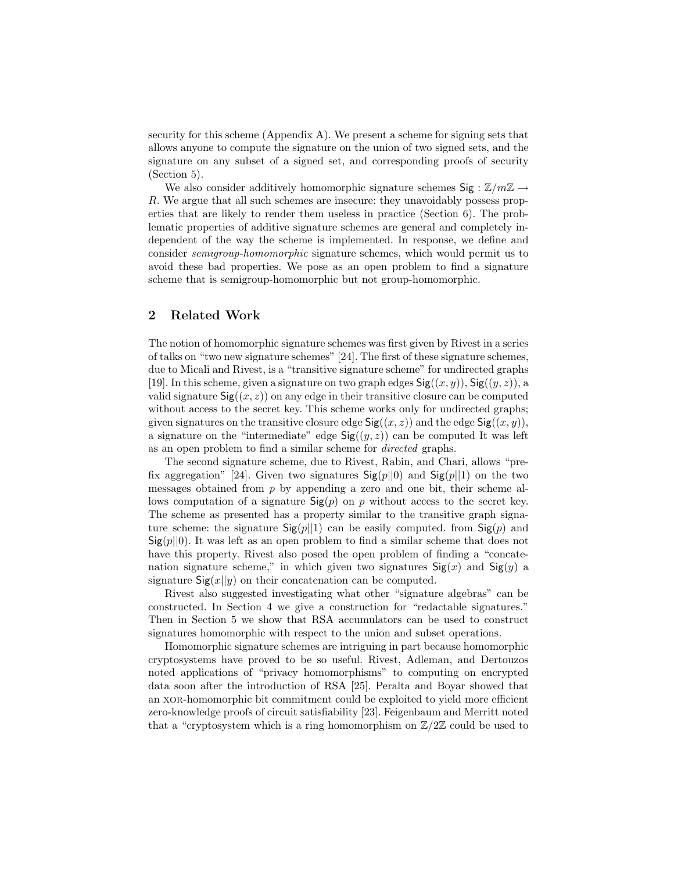security for this scheme (Appendix A). We present a scheme for signing sets that allows anyone to compute the signature on the union of two signed sets, and the signature on any subset of a signed set, and corresponding proofs of security (Section 5).

We also consider additively homomorphic signature schemes  $\text{Sig}: \mathbb{Z}/m\mathbb{Z} \to$ R. We argue that all such schemes are insecure: they unavoidably possess properties that are likely to render them useless in practice (Section 6). The problematic properties of additive signature schemes are general and completely independent of the way the scheme is implemented. In response, we define and consider semigroup-homomorphic signature schemes, which would permit us to avoid these bad properties. We pose as an open problem to find a signature scheme that is semigroup-homomorphic but not group-homomorphic.

## 2 Related Work

The notion of homomorphic signature schemes was first given by Rivest in a series of talks on "two new signature schemes" [24]. The first of these signature schemes, due to Micali and Rivest, is a "transitive signature scheme" for undirected graphs [19]. In this scheme, given a signature on two graph edges  $\mathsf{Sig}((x, y))$ ,  $\mathsf{Sig}((y, z))$ , a valid signature  $\text{Sig}((x, z))$  on any edge in their transitive closure can be computed without access to the secret key. This scheme works only for undirected graphs; given signatures on the transitive closure edge  $\mathsf{Sig}((x, z))$  and the edge  $\mathsf{Sig}((x, y)),$ a signature on the "intermediate" edge  $\mathsf{Sig}((y, z))$  can be computed It was left as an open problem to find a similar scheme for directed graphs.

The second signature scheme, due to Rivest, Rabin, and Chari, allows "prefix aggregation" [24]. Given two signatures  $\text{Sig}(p||0)$  and  $\text{Sig}(p||1)$  on the two messages obtained from  $p$  by appending a zero and one bit, their scheme allows computation of a signature  $\mathsf{Sig}(p)$  on p without access to the secret key. The scheme as presented has a property similar to the transitive graph signature scheme: the signature  $\text{Sig}(p||1)$  can be easily computed. from  $\text{Sig}(p)$  and  $\text{Sig}(p||0)$ . It was left as an open problem to find a similar scheme that does not have this property. Rivest also posed the open problem of finding a "concatenation signature scheme," in which given two signatures  $\mathsf{Sig}(x)$  and  $\mathsf{Sig}(y)$  a signature  $\textsf{Sig}(x||y)$  on their concatenation can be computed.

Rivest also suggested investigating what other "signature algebras" can be constructed. In Section 4 we give a construction for "redactable signatures." Then in Section 5 we show that RSA accumulators can be used to construct signatures homomorphic with respect to the union and subset operations.

Homomorphic signature schemes are intriguing in part because homomorphic cryptosystems have proved to be so useful. Rivest, Adleman, and Dertouzos noted applications of "privacy homomorphisms" to computing on encrypted data soon after the introduction of RSA [25]. Peralta and Boyar showed that an xor-homomorphic bit commitment could be exploited to yield more efficient zero-knowledge proofs of circuit satisfiability [23]. Feigenbaum and Merritt noted that a "cryptosystem which is a ring homomorphism on  $\mathbb{Z}/2\mathbb{Z}$  could be used to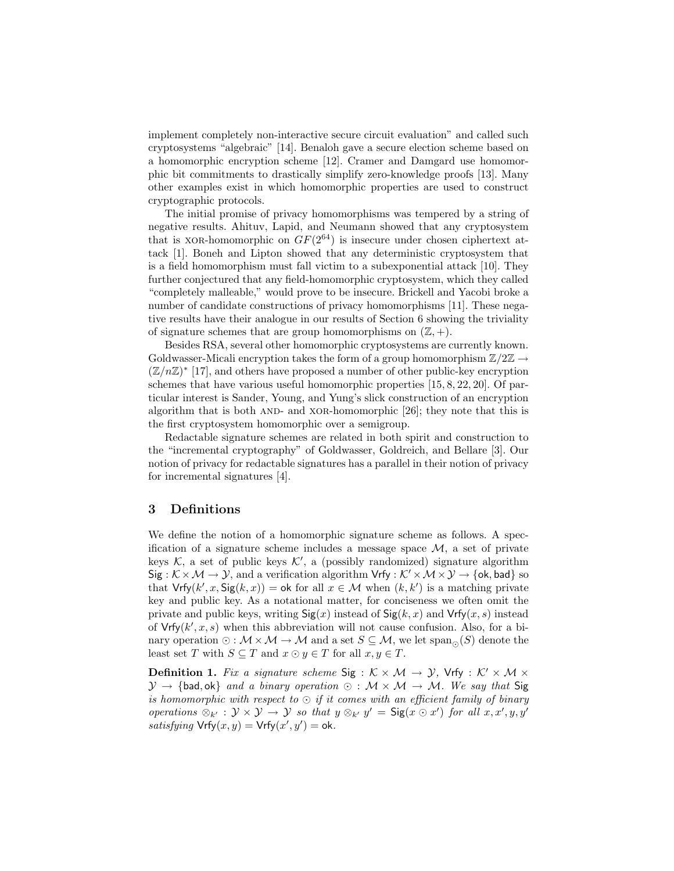implement completely non-interactive secure circuit evaluation" and called such cryptosystems "algebraic" [14]. Benaloh gave a secure election scheme based on a homomorphic encryption scheme [12]. Cramer and Damgard use homomorphic bit commitments to drastically simplify zero-knowledge proofs [13]. Many other examples exist in which homomorphic properties are used to construct cryptographic protocols.

The initial promise of privacy homomorphisms was tempered by a string of negative results. Ahituv, Lapid, and Neumann showed that any cryptosystem that is XOR-homomorphic on  $GF(2^{64})$  is insecure under chosen ciphertext attack [1]. Boneh and Lipton showed that any deterministic cryptosystem that is a field homomorphism must fall victim to a subexponential attack [10]. They further conjectured that any field-homomorphic cryptosystem, which they called "completely malleable," would prove to be insecure. Brickell and Yacobi broke a number of candidate constructions of privacy homomorphisms [11]. These negative results have their analogue in our results of Section 6 showing the triviality of signature schemes that are group homomorphisms on  $(\mathbb{Z}, +)$ .

Besides RSA, several other homomorphic cryptosystems are currently known. Goldwasser-Micali encryption takes the form of a group homomorphism  $\mathbb{Z}/2\mathbb{Z} \rightarrow$  $(\mathbb{Z}/n\mathbb{Z})^*$  [17], and others have proposed a number of other public-key encryption schemes that have various useful homomorphic properties [15, 8, 22, 20]. Of particular interest is Sander, Young, and Yung's slick construction of an encryption algorithm that is both AND- and XOR-homomorphic [26]; they note that this is the first cryptosystem homomorphic over a semigroup.

Redactable signature schemes are related in both spirit and construction to the "incremental cryptography" of Goldwasser, Goldreich, and Bellare [3]. Our notion of privacy for redactable signatures has a parallel in their notion of privacy for incremental signatures [4].

#### 3 Definitions

We define the notion of a homomorphic signature scheme as follows. A specification of a signature scheme includes a message space  $\mathcal{M}$ , a set of private keys  $K$ , a set of public keys  $K'$ , a (possibly randomized) signature algorithm  $Sig : \mathcal{K} \times \mathcal{M} \to \mathcal{Y}$ , and a verification algorithm  $Vrfy : \mathcal{K}' \times \mathcal{M} \times \mathcal{Y} \to \{\text{ok}, \text{bad}\}\$  so that  $Vrfy(k', x, Sig(k, x)) = \text{ok for all } x \in \mathcal{M}$  when  $(k, k')$  is a matching private key and public key. As a notational matter, for conciseness we often omit the private and public keys, writing  $\text{Sig}(x)$  instead of  $\text{Sig}(k, x)$  and  $\text{Vrfy}(x, s)$  instead of  $Vrfy(k',x,s)$  when this abbreviation will not cause confusion. Also, for a binary operation  $\odot : \mathcal{M} \times \mathcal{M} \to \mathcal{M}$  and a set  $S \subseteq \mathcal{M}$ , we let span  $\odot(S)$  denote the least set T with  $S \subseteq T$  and  $x \odot y \in T$  for all  $x, y \in T$ .

**Definition 1.** Fix a signature scheme Sig :  $K \times M \rightarrow Y$ , Vrfy :  $K' \times M \times$  $\mathcal{Y} \to \{\text{bad}, \text{ok}\}\$ and a binary operation  $\odot$  :  $\mathcal{M} \times \mathcal{M} \to \mathcal{M}$ . We say that Sig is homomorphic with respect to  $\odot$  if it comes with an efficient family of binary operations  $\otimes_{k'} : \mathcal{Y} \times \mathcal{Y} \to \mathcal{Y}$  so that  $y \otimes_{k'} y' = \mathsf{Sig}(x \odot x')$  for all  $x, x', y, y'$ satisfying  $\mathsf{Vrfy}(x, y) = \mathsf{Vrfy}(x', y') = \mathsf{ok}.$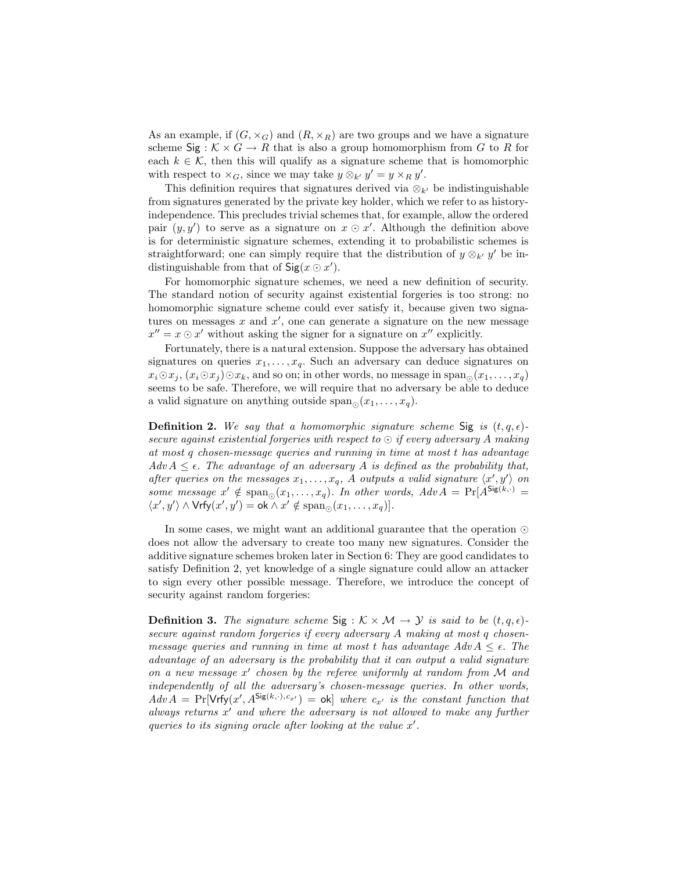As an example, if  $(G, \times_G)$  and  $(R, \times_R)$  are two groups and we have a signature scheme  $\textsf{Sig}: \mathcal{K} \times G \to R$  that is also a group homomorphism from G to R for each  $k \in \mathcal{K}$ , then this will qualify as a signature scheme that is homomorphic with respect to  $\times_G$ , since we may take  $y \otimes_{k'} y' = y \times_R y'$ .

This definition requires that signatures derived via  $\otimes_{k'}$  be indistinguishable from signatures generated by the private key holder, which we refer to as historyindependence. This precludes trivial schemes that, for example, allow the ordered pair  $(y, y')$  to serve as a signature on  $x \odot x'$ . Although the definition above is for deterministic signature schemes, extending it to probabilistic schemes is straightforward; one can simply require that the distribution of  $y \otimes_{k'} y'$  be indistinguishable from that of  $\mathsf{Sig}(x \odot x')$ .

For homomorphic signature schemes, we need a new definition of security. The standard notion of security against existential forgeries is too strong: no homomorphic signature scheme could ever satisfy it, because given two signatures on messages  $x$  and  $x'$ , one can generate a signature on the new message  $x'' = x \odot x'$  without asking the signer for a signature on  $x''$  explicitly.

Fortunately, there is a natural extension. Suppose the adversary has obtained signatures on queries  $x_1, \ldots, x_q$ . Such an adversary can deduce signatures on  $x_i \odot x_j, (x_i \odot x_j) \odot x_k$ , and so on; in other words, no message in span<sub> $\odot$ </sub> $(x_1, \ldots, x_q)$ seems to be safe. Therefore, we will require that no adversary be able to deduce a valid signature on anything outside  $\text{span}_{\odot}(x_1,\ldots,x_q)$ .

**Definition 2.** We say that a homomorphic signature scheme Sig is  $(t, q, \epsilon)$ secure against existential forgeries with respect to  $\odot$  if every adversary A making at most q chosen-message queries and running in time at most t has advantage  $Adv A \leq \epsilon$ . The advantage of an adversary A is defined as the probability that, after queries on the messages  $x_1, \ldots, x_q$ , A outputs a valid signature  $\langle x', y' \rangle$  on some message  $x' \notin \text{span}_{\odot}(x_1,\ldots,x_q)$ . In other words,  $Adv A = \Pr[A^{\text{Sig}(k,\cdot)}]$  $\langle x', y' \rangle \wedge \mathsf{Vrfy}(x', y') = \mathsf{ok} \wedge x' \notin \mathsf{span}_{\odot}(x_1, \ldots, x_q)].$ 

In some cases, we might want an additional guarantee that the operation  $\odot$ does not allow the adversary to create too many new signatures. Consider the additive signature schemes broken later in Section 6: They are good candidates to satisfy Definition 2, yet knowledge of a single signature could allow an attacker to sign every other possible message. Therefore, we introduce the concept of security against random forgeries:

**Definition 3.** The signature scheme Sig :  $K \times M \rightarrow Y$  is said to be  $(t, q, \epsilon)$ secure against random forgeries if every adversary A making at most q chosenmessage queries and running in time at most t has advantage  $Adv A \leq \epsilon$ . The advantage of an adversary is the probability that it can output a valid signature on a new message  $x'$  chosen by the referee uniformly at random from  $\mathcal M$  and independently of all the adversary's chosen-message queries. In other words,  $Adv\overline{A} = Pr[Vrfy(x', A^{Sig(k, \cdot), c_{x'})}] = ok]$  where  $c_{x'}$  is the constant function that always returns  $x'$  and where the adversary is not allowed to make any further queries to its signing oracle after looking at the value  $x'$ .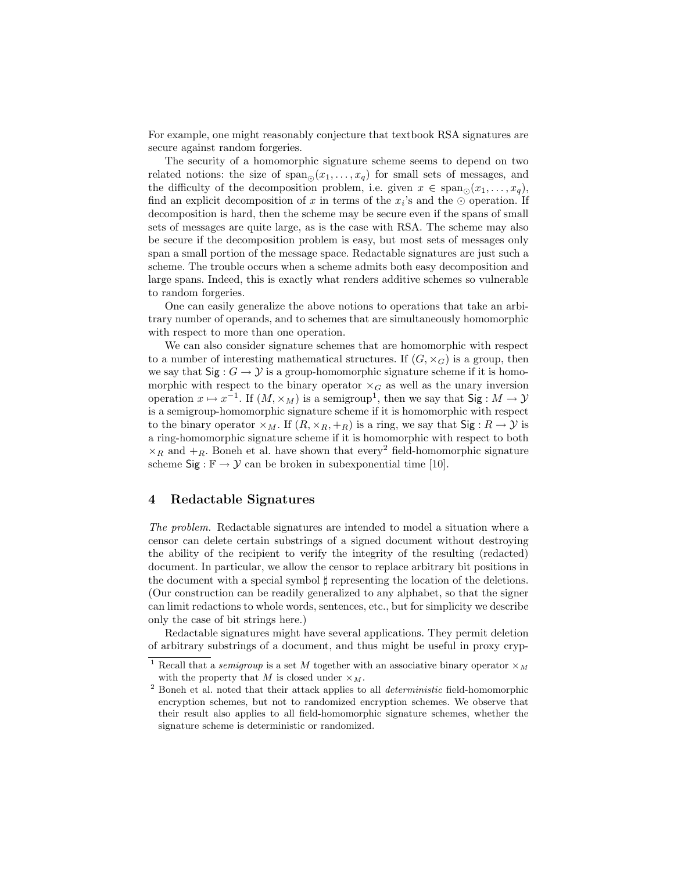For example, one might reasonably conjecture that textbook RSA signatures are secure against random forgeries.

The security of a homomorphic signature scheme seems to depend on two related notions: the size of  $\text{span}_{\odot}(x_1,\ldots,x_q)$  for small sets of messages, and the difficulty of the decomposition problem, i.e. given  $x \in \text{span}_{\bigcirc}(x_1, \ldots, x_q)$ , find an explicit decomposition of x in terms of the  $x_i$ 's and the  $\odot$  operation. If decomposition is hard, then the scheme may be secure even if the spans of small sets of messages are quite large, as is the case with RSA. The scheme may also be secure if the decomposition problem is easy, but most sets of messages only span a small portion of the message space. Redactable signatures are just such a scheme. The trouble occurs when a scheme admits both easy decomposition and large spans. Indeed, this is exactly what renders additive schemes so vulnerable to random forgeries.

One can easily generalize the above notions to operations that take an arbitrary number of operands, and to schemes that are simultaneously homomorphic with respect to more than one operation.

We can also consider signature schemes that are homomorphic with respect to a number of interesting mathematical structures. If  $(G, \times_G)$  is a group, then we say that  $\textsf{Sig}: G \to \mathcal{Y}$  is a group-homomorphic signature scheme if it is homomorphic with respect to the binary operator  $\times_G$  as well as the unary inversion operation  $x \mapsto x^{-1}$ . If  $(M, \times_M)$  is a semigroup<sup>1</sup>, then we say that Sig :  $M \to Y$ is a semigroup-homomorphic signature scheme if it is homomorphic with respect to the binary operator  $\times_M$ . If  $(R, \times_R, +_R)$  is a ring, we say that  $\text{Sig}: R \to Y$  is a ring-homomorphic signature scheme if it is homomorphic with respect to both  $\times_R$  and  $+R$ . Boneh et al. have shown that every<sup>2</sup> field-homomorphic signature scheme  $\text{Sig}: \mathbb{F} \to \mathcal{Y}$  can be broken in subexponential time [10].

## 4 Redactable Signatures

The problem. Redactable signatures are intended to model a situation where a censor can delete certain substrings of a signed document without destroying the ability of the recipient to verify the integrity of the resulting (redacted) document. In particular, we allow the censor to replace arbitrary bit positions in the document with a special symbol  $\sharp$  representing the location of the deletions. (Our construction can be readily generalized to any alphabet, so that the signer can limit redactions to whole words, sentences, etc., but for simplicity we describe only the case of bit strings here.)

Redactable signatures might have several applications. They permit deletion of arbitrary substrings of a document, and thus might be useful in proxy cryp-

Recall that a *semigroup* is a set M together with an associative binary operator  $\times_M$ with the property that M is closed under  $\times_M$ .

 $2$  Boneh et al. noted that their attack applies to all *deterministic* field-homomorphic encryption schemes, but not to randomized encryption schemes. We observe that their result also applies to all field-homomorphic signature schemes, whether the signature scheme is deterministic or randomized.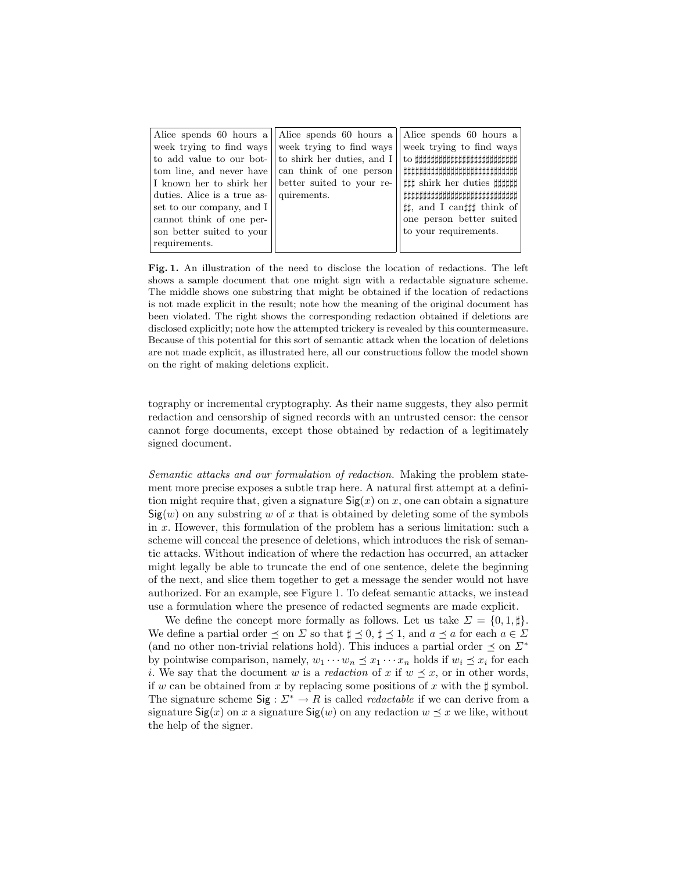Fig. 1. An illustration of the need to disclose the location of redactions. The left shows a sample document that one might sign with a redactable signature scheme. The middle shows one substring that might be obtained if the location of redactions is not made explicit in the result; note how the meaning of the original document has been violated. The right shows the corresponding redaction obtained if deletions are disclosed explicitly; note how the attempted trickery is revealed by this countermeasure. Because of this potential for this sort of semantic attack when the location of deletions are not made explicit, as illustrated here, all our constructions follow the model shown on the right of making deletions explicit.

tography or incremental cryptography. As their name suggests, they also permit redaction and censorship of signed records with an untrusted censor: the censor cannot forge documents, except those obtained by redaction of a legitimately signed document.

Semantic attacks and our formulation of redaction. Making the problem statement more precise exposes a subtle trap here. A natural first attempt at a definition might require that, given a signature  $\mathsf{Sig}(x)$  on x, one can obtain a signature  $Sig(w)$  on any substring w of x that is obtained by deleting some of the symbols in x. However, this formulation of the problem has a serious limitation: such a scheme will conceal the presence of deletions, which introduces the risk of semantic attacks. Without indication of where the redaction has occurred, an attacker might legally be able to truncate the end of one sentence, delete the beginning of the next, and slice them together to get a message the sender would not have authorized. For an example, see Figure 1. To defeat semantic attacks, we instead use a formulation where the presence of redacted segments are made explicit.

We define the concept more formally as follows. Let us take  $\Sigma = \{0, 1, \sharp\}.$ We define a partial order  $\preceq$  on  $\Sigma$  so that  $\sharp \preceq 0, \sharp \preceq 1$ , and  $a \preceq a$  for each  $a \in \Sigma$ (and no other non-trivial relations hold). This induces a partial order  $\preceq$  on  $\Sigma^*$ by pointwise comparison, namely,  $w_1 \cdots w_n \preceq x_1 \cdots x_n$  holds if  $w_i \preceq x_i$  for each i. We say that the document w is a redaction of x if  $w \preceq x$ , or in other words, if w can be obtained from x by replacing some positions of x with the  $\sharp$  symbol. The signature scheme  $\text{Sig}: \Sigma^* \to R$  is called *redactable* if we can derive from a signature  $\text{Sig}(x)$  on x a signature  $\text{Sig}(w)$  on any redaction  $w \preceq x$  we like, without the help of the signer.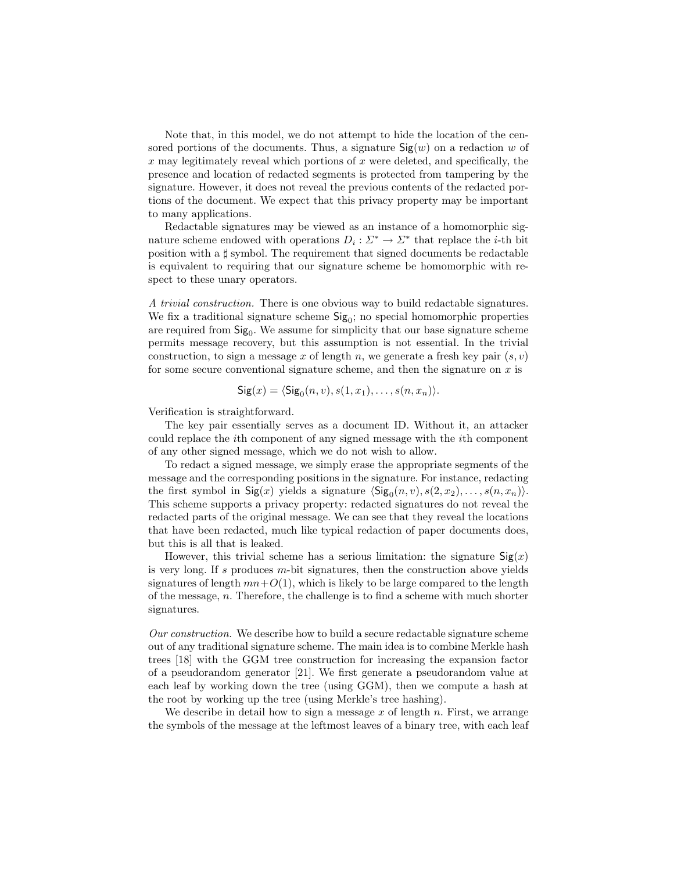Note that, in this model, we do not attempt to hide the location of the censored portions of the documents. Thus, a signature  $\text{Sig}(w)$  on a redaction w of  $x$  may legitimately reveal which portions of  $x$  were deleted, and specifically, the presence and location of redacted segments is protected from tampering by the signature. However, it does not reveal the previous contents of the redacted portions of the document. We expect that this privacy property may be important to many applications.

Redactable signatures may be viewed as an instance of a homomorphic signature scheme endowed with operations  $D_i: \Sigma^* \to \Sigma^*$  that replace the *i*-th bit position with a  $\sharp$  symbol. The requirement that signed documents be redactable is equivalent to requiring that our signature scheme be homomorphic with respect to these unary operators.

A trivial construction. There is one obvious way to build redactable signatures. We fix a traditional signature scheme  $\text{Sig}_0$ ; no special homomorphic properties are required from  $\text{Sig}_0$ . We assume for simplicity that our base signature scheme permits message recovery, but this assumption is not essential. In the trivial construction, to sign a message x of length n, we generate a fresh key pair  $(s, v)$ for some secure conventional signature scheme, and then the signature on  $x$  is

$$
Sig(x) = \langle Sig_0(n, v), s(1, x_1), \dots, s(n, x_n) \rangle.
$$

Verification is straightforward.

The key pair essentially serves as a document ID. Without it, an attacker could replace the ith component of any signed message with the ith component of any other signed message, which we do not wish to allow.

To redact a signed message, we simply erase the appropriate segments of the message and the corresponding positions in the signature. For instance, redacting the first symbol in  $\textsf{Sig}(x)$  yields a signature  $\langle \textsf{Sig}_0(n, v), s(2, x_2), \dots, s(n, x_n)\rangle$ . This scheme supports a privacy property: redacted signatures do not reveal the redacted parts of the original message. We can see that they reveal the locations that have been redacted, much like typical redaction of paper documents does, but this is all that is leaked.

However, this trivial scheme has a serious limitation: the signature  $\mathsf{Sig}(x)$ is very long. If s produces  $m$ -bit signatures, then the construction above yields signatures of length  $mn+O(1)$ , which is likely to be large compared to the length of the message,  $n$ . Therefore, the challenge is to find a scheme with much shorter signatures.

Our construction. We describe how to build a secure redactable signature scheme out of any traditional signature scheme. The main idea is to combine Merkle hash trees [18] with the GGM tree construction for increasing the expansion factor of a pseudorandom generator [21]. We first generate a pseudorandom value at each leaf by working down the tree (using GGM), then we compute a hash at the root by working up the tree (using Merkle's tree hashing).

We describe in detail how to sign a message  $x$  of length  $n$ . First, we arrange the symbols of the message at the leftmost leaves of a binary tree, with each leaf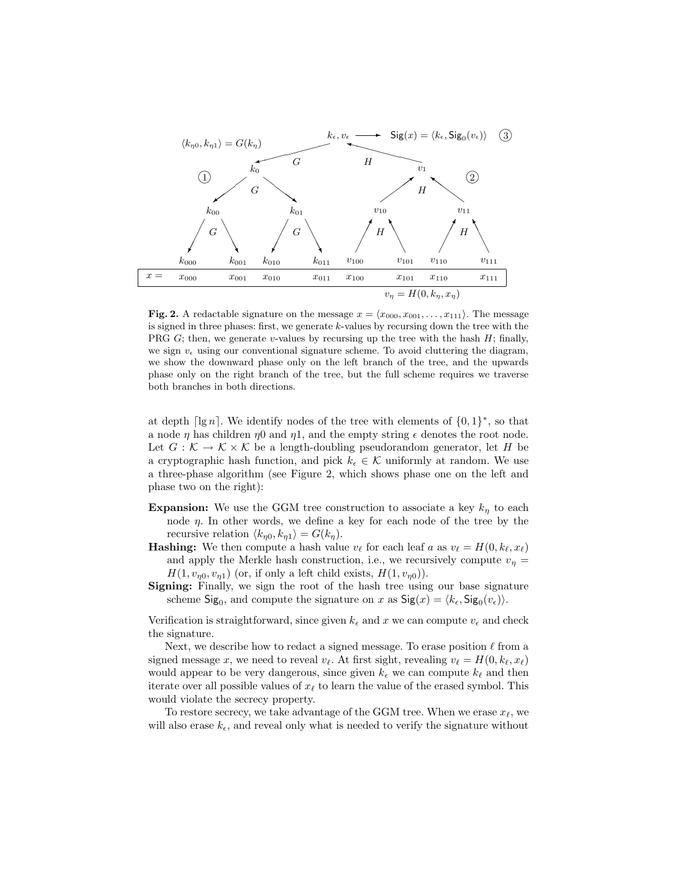

Fig. 2. A redactable signature on the message  $x = \langle x_{000}, x_{001}, \ldots, x_{111} \rangle$ . The message is signed in three phases: first, we generate k-values by recursing down the tree with the PRG  $G$ ; then, we generate v-values by recursing up the tree with the hash  $H$ ; finally, we sign  $v_{\epsilon}$  using our conventional signature scheme. To avoid cluttering the diagram, we show the downward phase only on the left branch of the tree, and the upwards phase only on the right branch of the tree, but the full scheme requires we traverse both branches in both directions.

at depth  $\lceil \lg n \rceil$ . We identify nodes of the tree with elements of  $\{0, 1\}^*$ , so that a node  $\eta$  has children  $\eta$ 0 and  $\eta$ 1, and the empty string  $\epsilon$  denotes the root node. Let  $G: \mathcal{K} \to \mathcal{K} \times \mathcal{K}$  be a length-doubling pseudorandom generator, let H be a cryptographic hash function, and pick  $k_{\epsilon} \in \mathcal{K}$  uniformly at random. We use a three-phase algorithm (see Figure 2, which shows phase one on the left and phase two on the right):

- **Expansion:** We use the GGM tree construction to associate a key  $k_n$  to each node  $\eta$ . In other words, we define a key for each node of the tree by the recursive relation  $\langle k_{\eta 0}, k_{\eta 1} \rangle = G(k_{\eta}).$
- **Hashing:** We then compute a hash value  $v_\ell$  for each leaf a as  $v_\ell = H(0, k_\ell, x_\ell)$ and apply the Merkle hash construction, i.e., we recursively compute  $v_n =$  $H(1, v_{n0}, v_{n1})$  (or, if only a left child exists,  $H(1, v_{n0})$ ).
- Signing: Finally, we sign the root of the hash tree using our base signature scheme  $\text{Sig}_0$ , and compute the signature on x as  $\text{Sig}(x) = \langle k_\epsilon, \text{Sig}_0(v_\epsilon) \rangle$ .

Verification is straightforward, since given  $k_{\epsilon}$  and x we can compute  $v_{\epsilon}$  and check the signature.

Next, we describe how to redact a signed message. To erase position  $\ell$  from a signed message x, we need to reveal  $v_{\ell}$ . At first sight, revealing  $v_{\ell} = H(0, k_{\ell}, x_{\ell})$ would appear to be very dangerous, since given  $k_{\epsilon}$  we can compute  $k_{\ell}$  and then iterate over all possible values of  $x_\ell$  to learn the value of the erased symbol. This would violate the secrecy property.

To restore secrecy, we take advantage of the GGM tree. When we erase  $x_{\ell}$ , we will also erase  $k_{\epsilon}$ , and reveal only what is needed to verify the signature without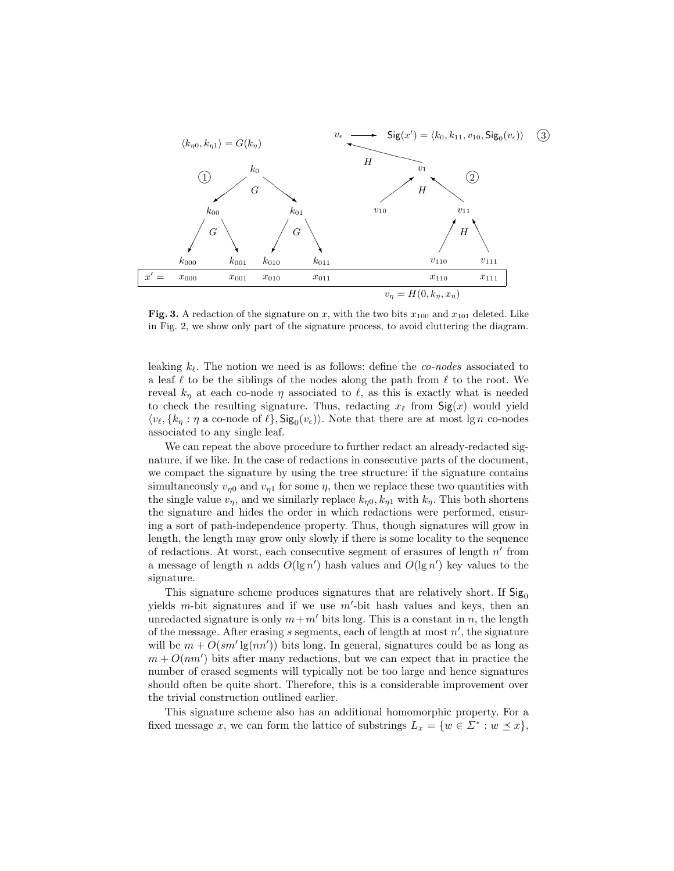

Fig. 3. A redaction of the signature on x, with the two bits  $x_{100}$  and  $x_{101}$  deleted. Like in Fig. 2, we show only part of the signature process, to avoid cluttering the diagram.

leaking  $k_{\ell}$ . The notion we need is as follows: define the *co-nodes* associated to a leaf  $\ell$  to be the siblings of the nodes along the path from  $\ell$  to the root. We reveal  $k_{\eta}$  at each co-node  $\eta$  associated to  $\ell$ , as this is exactly what is needed to check the resulting signature. Thus, redacting  $x_\ell$  from  $\mathsf{Sig}(x)$  would yield  $\langle v_{\ell}, \{k_{\eta} : \eta \text{ a co-node of } \ell\}, \mathsf{Sig}_0(v_{\epsilon})\rangle$ . Note that there are at most lg n co-nodes associated to any single leaf.

We can repeat the above procedure to further redact an already-redacted signature, if we like. In the case of redactions in consecutive parts of the document, we compact the signature by using the tree structure: if the signature contains simultaneously  $v_{n0}$  and  $v_{n1}$  for some  $\eta$ , then we replace these two quantities with the single value  $v_{\eta}$ , and we similarly replace  $k_{\eta 0}$ ,  $k_{\eta 1}$  with  $k_{\eta}$ . This both shortens the signature and hides the order in which redactions were performed, ensuring a sort of path-independence property. Thus, though signatures will grow in length, the length may grow only slowly if there is some locality to the sequence of redactions. At worst, each consecutive segment of erasures of length  $n'$  from a message of length n adds  $O(\lg n')$  hash values and  $O(\lg n')$  key values to the signature.

This signature scheme produces signatures that are relatively short. If  $\text{Sig}_0$ yields  $m$ -bit signatures and if we use  $m'$ -bit hash values and keys, then an unredacted signature is only  $m+m'$  bits long. This is a constant in n, the length of the message. After erasing  $s$  segments, each of length at most  $n'$ , the signature will be  $m + O(s m' \lg(m') )$  bits long. In general, signatures could be as long as  $m + O(nm')$  bits after many redactions, but we can expect that in practice the number of erased segments will typically not be too large and hence signatures should often be quite short. Therefore, this is a considerable improvement over the trivial construction outlined earlier.

This signature scheme also has an additional homomorphic property. For a fixed message x, we can form the lattice of substrings  $L_x = \{w \in \Sigma^* : w \preceq x\},\$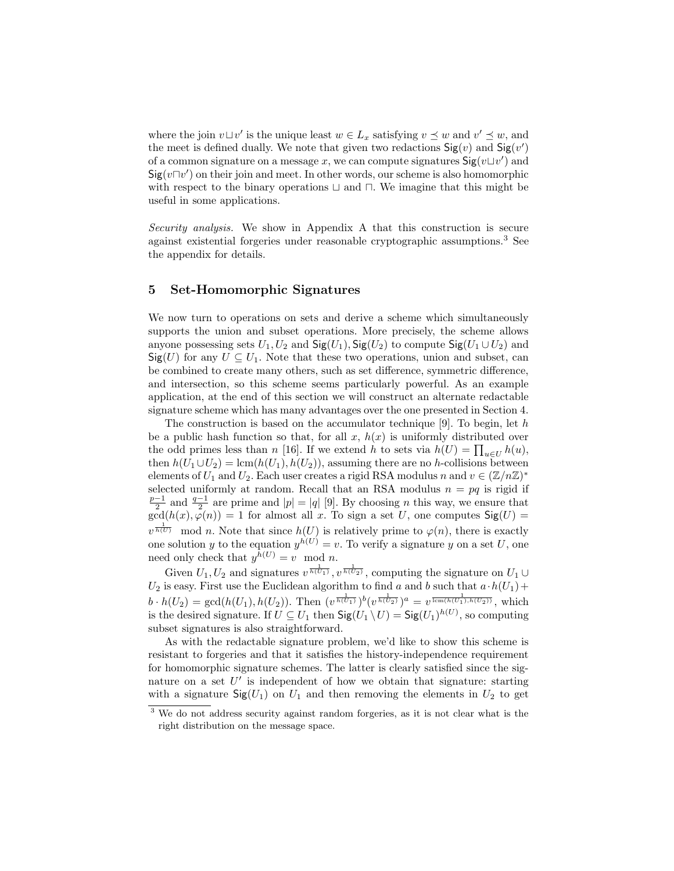where the join  $v \sqcup v'$  is the unique least  $w \in L_x$  satisfying  $v \preceq w$  and  $v' \preceq w$ , and the meet is defined dually. We note that given two redactions  $\mathsf{Sig}(v)$  and  $\mathsf{Sig}(v')$ of a common signature on a message x, we can compute signatures  $\mathsf{Sig}(v \sqcup v')$  and  $\mathsf{Sig}(v \sqcap v')$  on their join and meet. In other words, our scheme is also homomorphic with respect to the binary operations  $\sqcup$  and  $\sqcap$ . We imagine that this might be useful in some applications.

Security analysis. We show in Appendix A that this construction is secure against existential forgeries under reasonable cryptographic assumptions.<sup>3</sup> See the appendix for details.

## 5 Set-Homomorphic Signatures

We now turn to operations on sets and derive a scheme which simultaneously supports the union and subset operations. More precisely, the scheme allows anyone possessing sets  $U_1, U_2$  and  $\text{Sig}(U_1), \text{Sig}(U_2)$  to compute  $\text{Sig}(U_1 \cup U_2)$  and  $\textsf{Sig}(U)$  for any  $U \subseteq U_1$ . Note that these two operations, union and subset, can be combined to create many others, such as set difference, symmetric difference, and intersection, so this scheme seems particularly powerful. As an example application, at the end of this section we will construct an alternate redactable signature scheme which has many advantages over the one presented in Section 4.

The construction is based on the accumulator technique  $[9]$ . To begin, let h be a public hash function so that, for all  $x, h(x)$  is uniformly distributed over the odd primes less than n [16]. If we extend h to sets via  $h(U) = \prod_{u \in U} h(u)$ , then  $h(U_1 \cup U_2) = \text{lcm}(h(U_1), h(U_2))$ , assuming there are no h-collisions between elements of  $U_1$  and  $U_2$ . Each user creates a rigid RSA modulus n and  $v \in (\mathbb{Z}/n\mathbb{Z})^*$ selected uniformly at random. Recall that an RSA modulus  $n = pq$  is rigid if  $\frac{p-1}{2}$  and  $\frac{q-1}{2}$  are prime and  $|p| = |q|$  [9]. By choosing *n* this way, we ensure that  $gcd(h(x), \varphi(n)) = 1$  for almost all x. To sign a set U, one computes  $Sig(U) =$  $v^{\frac{1}{h(U)}}$  mod n. Note that since  $h(U)$  is relatively prime to  $\varphi(n)$ , there is exactly one solution y to the equation  $y^{h(U)} = v$ . To verify a signature y on a set U, one need only check that  $y^{h(U)} = v \mod n$ .

Given  $U_1, U_2$  and signatures  $v^{\frac{1}{h(U_1)}}, v^{\frac{1}{h(U_2)}},$  computing the signature on  $U_1 \cup$  $U_2$  is easy. First use the Euclidean algorithm to find a and b such that  $a \cdot h(U_1)$  +  $b \cdot h(U_2) = \gcd(h(U_1), h(U_2))$ . Then  $(v^{\frac{1}{h(U_1)}})^b (v^{\frac{1}{h(U_2)}})^a = v^{\frac{1}{\text{lcm}(h(U_1), h(U_2))}}$ , which is the desired signature. If  $U \subseteq U_1$  then  $\mathsf{Sig}(U_1 \setminus U) = \mathsf{Sig}(U_1)^{h(U)}$ , so computing subset signatures is also straightforward.

As with the redactable signature problem, we'd like to show this scheme is resistant to forgeries and that it satisfies the history-independence requirement for homomorphic signature schemes. The latter is clearly satisfied since the signature on a set  $U'$  is independent of how we obtain that signature: starting with a signature  $\text{Sig}(U_1)$  on  $U_1$  and then removing the elements in  $U_2$  to get

<sup>3</sup> We do not address security against random forgeries, as it is not clear what is the right distribution on the message space.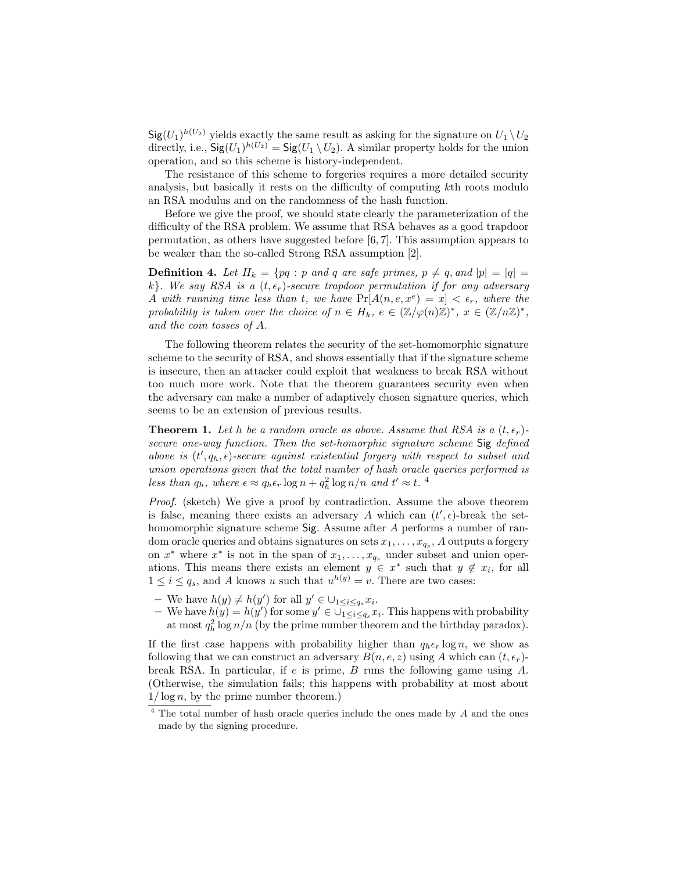$\mathsf{Sig}(U_1)^{h(U_2)}$  yields exactly the same result as asking for the signature on  $U_1 \setminus U_2$ directly, i.e.,  $\mathsf{Sig}(U_1)^{h(U_2)} = \mathsf{Sig}(U_1 \setminus U_2)$ . A similar property holds for the union operation, and so this scheme is history-independent.

The resistance of this scheme to forgeries requires a more detailed security analysis, but basically it rests on the difficulty of computing kth roots modulo an RSA modulus and on the randomness of the hash function.

Before we give the proof, we should state clearly the parameterization of the difficulty of the RSA problem. We assume that RSA behaves as a good trapdoor permutation, as others have suggested before [6, 7]. This assumption appears to be weaker than the so-called Strong RSA assumption [2].

**Definition 4.** Let  $H_k = \{pq : p \text{ and } q \text{ are safe primes, } p \neq q \text{, and } |p| = |q| =$ k}. We say RSA is a  $(t, \epsilon_r)$ -secure trapdoor permutation if for any adversary A with running time less than t, we have  $Pr[A(n, e, x^e) = x] < \epsilon_r$ , where the probability is taken over the choice of  $n \in H_k$ ,  $e \in (\mathbb{Z}/\varphi(n)\mathbb{Z})^*$ ,  $x \in (\mathbb{Z}/n\mathbb{Z})^*$ , and the coin tosses of A.

The following theorem relates the security of the set-homomorphic signature scheme to the security of RSA, and shows essentially that if the signature scheme is insecure, then an attacker could exploit that weakness to break RSA without too much more work. Note that the theorem guarantees security even when the adversary can make a number of adaptively chosen signature queries, which seems to be an extension of previous results.

**Theorem 1.** Let h be a random oracle as above. Assume that RSA is a  $(t, \epsilon_r)$ secure one-way function. Then the set-homorphic signature scheme Sig defined above is  $(t', q_h, \epsilon)$ -secure against existential forgery with respect to subset and union operations given that the total number of hash oracle queries performed is less than  $q_h$ , where  $\epsilon \approx q_h \epsilon_r \log n + q_h^2 \log n/n$  and  $t' \approx t$ .<sup>4</sup>

Proof. (sketch) We give a proof by contradiction. Assume the above theorem is false, meaning there exists an adversary A which can  $(t', \epsilon)$ -break the sethomomorphic signature scheme Sig. Assume after A performs a number of random oracle queries and obtains signatures on sets  $x_1, \ldots, x_{q_s}, A$  outputs a forgery on  $x^*$  where  $x^*$  is not in the span of  $x_1, \ldots, x_{q_s}$  under subset and union operations. This means there exists an element  $y \in x^*$  such that  $y \notin x_i$ , for all  $1 \leq i \leq q_s$ , and A knows u such that  $u^{h(y)} = v$ . There are two cases:

- We have  $h(y) \neq h(y')$  for all  $y' \in \bigcup_{1 \leq i \leq q_s} x_i$ .
- We have  $h(y) = h(y')$  for some  $y' \in \bigcup_{1 \leq i \leq q_s}^{\infty} x_i$ . This happens with probability at most  $q_h^2 \log n/n$  (by the prime number theorem and the birthday paradox).

If the first case happens with probability higher than  $q_h \epsilon_r \log n$ , we show as following that we can construct an adversary  $B(n, e, z)$  using A which can  $(t, \epsilon_r)$ break RSA. In particular, if  $e$  is prime,  $B$  runs the following game using  $A$ . (Otherwise, the simulation fails; this happens with probability at most about  $1/\log n$ , by the prime number theorem.)

 $4$  The total number of hash oracle queries include the ones made by  $A$  and the ones made by the signing procedure.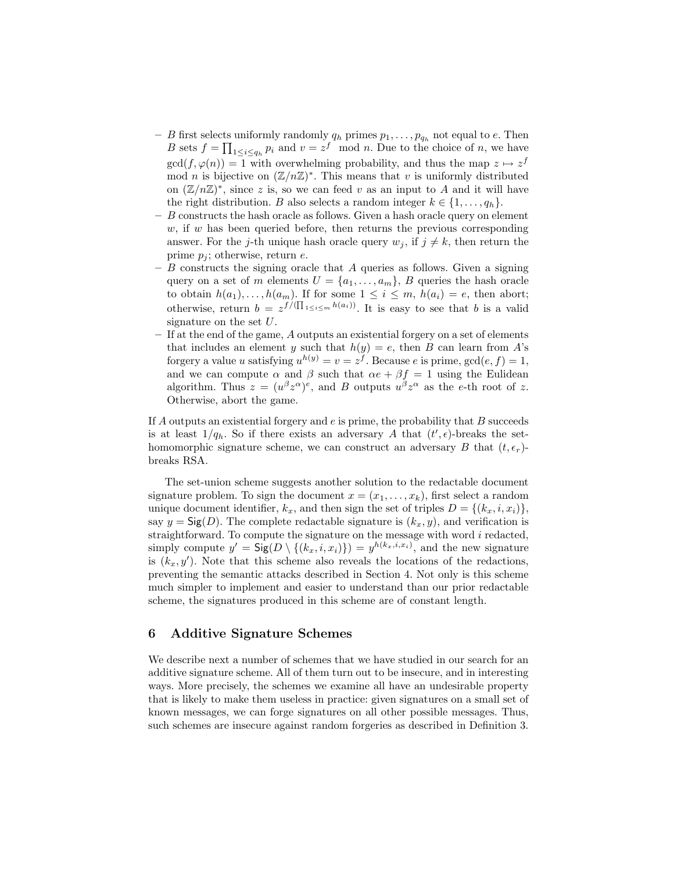- B first selects uniformly randomly  $q_h$  primes  $p_1, \ldots, p_{q_h}$  not equal to e. Then B sets  $f = \prod_{1 \leq i \leq q_h} p_i$  and  $v = z^f \mod n$ . Due to the choice of n, we have  $gcd(f, \varphi(n)) = 1$  with overwhelming probability, and thus the map  $z \mapsto z^f$ mod *n* is bijective on  $(\mathbb{Z}/n\mathbb{Z})^*$ . This means that *v* is uniformly distributed on  $(\mathbb{Z}/n\mathbb{Z})^*$ , since z is, so we can feed v as an input to A and it will have the right distribution. B also selects a random integer  $k \in \{1, \ldots, q_h\}$ .
- $-$  B constructs the hash oracle as follows. Given a hash oracle query on element  $w$ , if w has been queried before, then returns the previous corresponding answer. For the j-th unique hash oracle query  $w_j$ , if  $j \neq k$ , then return the prime  $p_i$ ; otherwise, return e.
- $-$  B constructs the signing oracle that A queries as follows. Given a signing query on a set of m elements  $U = \{a_1, \ldots, a_m\}$ , B queries the hash oracle to obtain  $h(a_1), \ldots, h(a_m)$ . If for some  $1 \leq i \leq m$ ,  $h(a_i) = e$ , then abort; otherwise, return  $b = z^{f/(\prod_{1 \leq i \leq m} h(a_i))}$ . It is easy to see that b is a valid signature on the set U.
- If at the end of the game, A outputs an existential forgery on a set of elements that includes an element y such that  $h(y) = e$ , then B can learn from A's forgery a value u satisfying  $u^{h(y)} = v = z^f$ . Because e is prime,  $gcd(e, f) = 1$ , and we can compute  $\alpha$  and  $\beta$  such that  $\alpha e + \beta f = 1$  using the Eulidean algorithm. Thus  $z = (u^{\beta} z^{\alpha})^e$ , and B outputs  $u^{\beta} z^{\alpha}$  as the e-th root of z. Otherwise, abort the game.

If A outputs an existential forgery and  $e$  is prime, the probability that B succeeds is at least  $1/q_h$ . So if there exists an adversary A that  $(t', \epsilon)$ -breaks the sethomomorphic signature scheme, we can construct an adversary B that  $(t, \epsilon_r)$ breaks RSA.

The set-union scheme suggests another solution to the redactable document signature problem. To sign the document  $x = (x_1, \ldots, x_k)$ , first select a random unique document identifier,  $k_x$ , and then sign the set of triples  $D = \{(k_x, i, x_i)\}\,$ say  $y = \mathsf{Sig}(D)$ . The complete redactable signature is  $(k_x, y)$ , and verification is straightforward. To compute the signature on the message with word  $i$  redacted, simply compute  $y' = \mathsf{Sig}(D \setminus \{(k_x,i,x_i)\}) = y^{h(k_x,i,x_i)}$ , and the new signature is  $(k_x, y')$ . Note that this scheme also reveals the locations of the redactions, preventing the semantic attacks described in Section 4. Not only is this scheme much simpler to implement and easier to understand than our prior redactable scheme, the signatures produced in this scheme are of constant length.

## 6 Additive Signature Schemes

We describe next a number of schemes that we have studied in our search for an additive signature scheme. All of them turn out to be insecure, and in interesting ways. More precisely, the schemes we examine all have an undesirable property that is likely to make them useless in practice: given signatures on a small set of known messages, we can forge signatures on all other possible messages. Thus, such schemes are insecure against random forgeries as described in Definition 3.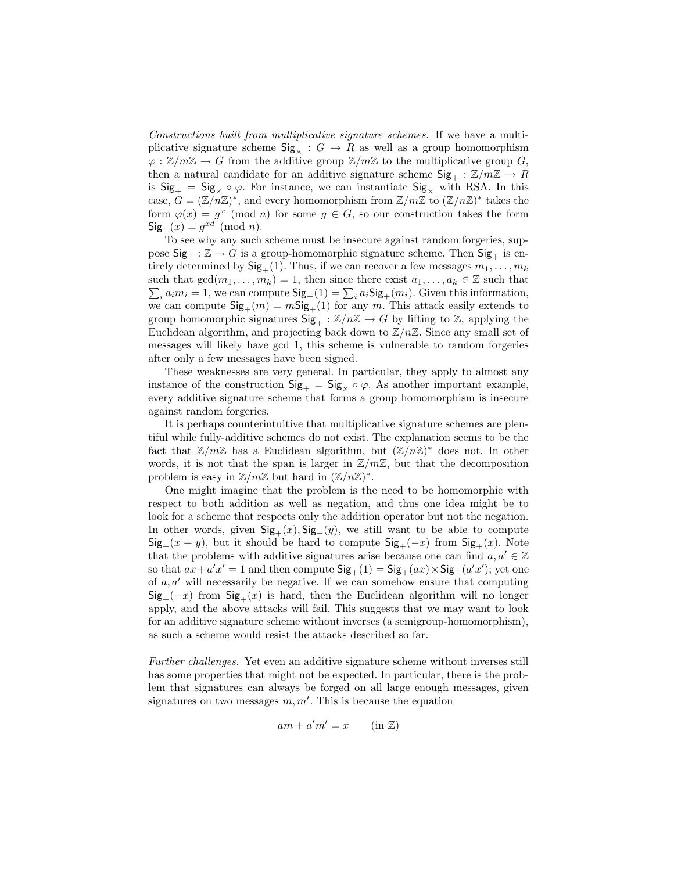Constructions built from multiplicative signature schemes. If we have a multiplicative signature scheme  $\text{Sig}_{\times} : G \to R$  as well as a group homomorphism  $\varphi : \mathbb{Z}/m\mathbb{Z} \to G$  from the additive group  $\mathbb{Z}/m\mathbb{Z}$  to the multiplicative group G, then a natural candidate for an additive signature scheme  $\text{Sig}_+ : \mathbb{Z}/m\mathbb{Z} \to R$ is  $\text{Sig}_{+} = \text{Sig}_{\times} \circ \varphi$ . For instance, we can instantiate  $\text{Sig}_{\times}$  with RSA. In this case,  $G = (\mathbb{Z}/n\mathbb{Z})^*$ , and every homomorphism from  $\mathbb{Z}/m\mathbb{Z}$  to  $(\mathbb{Z}/n\mathbb{Z})^*$  takes the form  $\varphi(x) = g^x \pmod{n}$  for some  $g \in G$ , so our construction takes the form  $\mathsf{Sig}_+(x) = g^{xd} \pmod{n}.$ 

To see why any such scheme must be insecure against random forgeries, suppose  $\text{Sig}_+ : \mathbb{Z} \to G$  is a group-homomorphic signature scheme. Then  $\text{Sig}_+$  is entirely determined by  $\text{Sig}_+(1)$ . Thus, if we can recover a few messages  $m_1, \ldots, m_k$ such that  $gcd(m_1, \ldots, m_k) = 1$ , then since there exist  $a_1, \ldots, a_k \in \mathbb{Z}$  such that  $\sum_i a_i m_i = 1$ , we can compute  $\mathsf{Sig}_+(1) = \sum_i a_i \mathsf{Sig}_+(m_i)$ . Given this information, we can compute  $\text{Sig}_+(m) = m\text{Sig}_+(1)$  for any m. This attack easily extends to group homomorphic signatures  $\mathsf{Sig}_+ : \mathbb{Z}/n\mathbb{Z} \to G$  by lifting to  $\mathbb{Z}$ , applying the Euclidean algorithm, and projecting back down to  $\mathbb{Z}/n\mathbb{Z}$ . Since any small set of messages will likely have gcd 1, this scheme is vulnerable to random forgeries after only a few messages have been signed.

These weaknesses are very general. In particular, they apply to almost any instance of the construction  $\text{Sig}_{+} = \text{Sig}_{\times} \circ \varphi$ . As another important example, every additive signature scheme that forms a group homomorphism is insecure against random forgeries.

It is perhaps counterintuitive that multiplicative signature schemes are plentiful while fully-additive schemes do not exist. The explanation seems to be the fact that  $\mathbb{Z}/m\mathbb{Z}$  has a Euclidean algorithm, but  $(\mathbb{Z}/n\mathbb{Z})^*$  does not. In other words, it is not that the span is larger in  $\mathbb{Z}/m\mathbb{Z}$ , but that the decomposition problem is easy in  $\mathbb{Z}/m\mathbb{Z}$  but hard in  $(\mathbb{Z}/n\mathbb{Z})^*$ .

One might imagine that the problem is the need to be homomorphic with respect to both addition as well as negation, and thus one idea might be to look for a scheme that respects only the addition operator but not the negation. In other words, given  $\text{Sig}_{+}(x), \text{Sig}_{+}(y)$ , we still want to be able to compute  $\mathsf{Sig}_+(x+y)$ , but it should be hard to compute  $\mathsf{Sig}_+(-x)$  from  $\mathsf{Sig}_+(x)$ . Note that the problems with additive signatures arise because one can find  $a, a' \in \mathbb{Z}$ so that  $ax + a'x' = 1$  and then compute  $\mathsf{Sig}_+(1) = \mathsf{Sig}_+(ax) \times \mathsf{Sig}_+(a'x')$ ; yet one of  $a, a'$  will necessarily be negative. If we can somehow ensure that computing  $\text{Sig}_{+}(-x)$  from  $\text{Sig}_{+}(x)$  is hard, then the Euclidean algorithm will no longer apply, and the above attacks will fail. This suggests that we may want to look for an additive signature scheme without inverses (a semigroup-homomorphism), as such a scheme would resist the attacks described so far.

Further challenges. Yet even an additive signature scheme without inverses still has some properties that might not be expected. In particular, there is the problem that signatures can always be forged on all large enough messages, given signatures on two messages  $m, m'$ . This is because the equation

$$
am + a'm' = x \qquad (\text{in } \mathbb{Z})
$$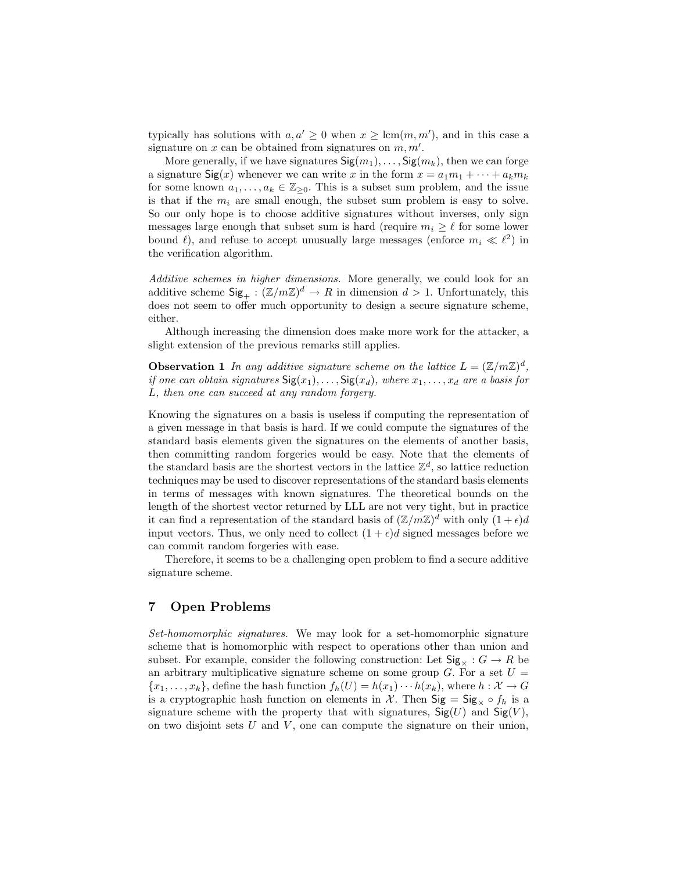typically has solutions with  $a, a' \geq 0$  when  $x \geq \text{lcm}(m, m')$ , and in this case a signature on  $x$  can be obtained from signatures on  $m, m'$ .

More generally, if we have signatures  $\text{Sig}(m_1), \ldots, \text{Sig}(m_k)$ , then we can forge a signature  $\mathsf{Sig}(x)$  whenever we can write x in the form  $x = a_1m_1 + \cdots + a_km_k$ for some known  $a_1, \ldots, a_k \in \mathbb{Z}_{\geq 0}$ . This is a subset sum problem, and the issue is that if the  $m_i$  are small enough, the subset sum problem is easy to solve. So our only hope is to choose additive signatures without inverses, only sign messages large enough that subset sum is hard (require  $m_i \geq \ell$  for some lower bound  $\ell$ ), and refuse to accept unusually large messages (enforce  $m_i \ll \ell^2$ ) in the verification algorithm.

Additive schemes in higher dimensions. More generally, we could look for an additive scheme  $\text{Sig}_+ : (\mathbb{Z}/m\mathbb{Z})^d \to R$  in dimension  $d > 1$ . Unfortunately, this does not seem to offer much opportunity to design a secure signature scheme, either.

Although increasing the dimension does make more work for the attacker, a slight extension of the previous remarks still applies.

**Observation 1** In any additive signature scheme on the lattice  $L = (\mathbb{Z}/m\mathbb{Z})^d$ , if one can obtain signatures  $\textsf{Sig}(x_1), \ldots, \textsf{Sig}(x_d)$ , where  $x_1, \ldots, x_d$  are a basis for L, then one can succeed at any random forgery.

Knowing the signatures on a basis is useless if computing the representation of a given message in that basis is hard. If we could compute the signatures of the standard basis elements given the signatures on the elements of another basis, then committing random forgeries would be easy. Note that the elements of the standard basis are the shortest vectors in the lattice  $\mathbb{Z}^d$ , so lattice reduction techniques may be used to discover representations of the standard basis elements in terms of messages with known signatures. The theoretical bounds on the length of the shortest vector returned by LLL are not very tight, but in practice it can find a representation of the standard basis of  $(\mathbb{Z}/m\mathbb{Z})^d$  with only  $(1+\epsilon)d$ input vectors. Thus, we only need to collect  $(1 + \epsilon)d$  signed messages before we can commit random forgeries with ease.

Therefore, it seems to be a challenging open problem to find a secure additive signature scheme.

## 7 Open Problems

Set-homomorphic signatures. We may look for a set-homomorphic signature scheme that is homomorphic with respect to operations other than union and subset. For example, consider the following construction: Let  $\text{Sig}_{\times}: G \to R$  be an arbitrary multiplicative signature scheme on some group  $G$ . For a set  $U =$  ${x_1, \ldots, x_k}$ , define the hash function  $f_h(U) = h(x_1) \cdots h(x_k)$ , where  $h: \mathcal{X} \to G$ is a cryptographic hash function on elements in X. Then  $\text{Sig} = \text{Sig}_{\times} \circ f_h$  is a signature scheme with the property that with signatures,  $\mathsf{Sig}(U)$  and  $\mathsf{Sig}(V)$ , on two disjoint sets  $U$  and  $V$ , one can compute the signature on their union,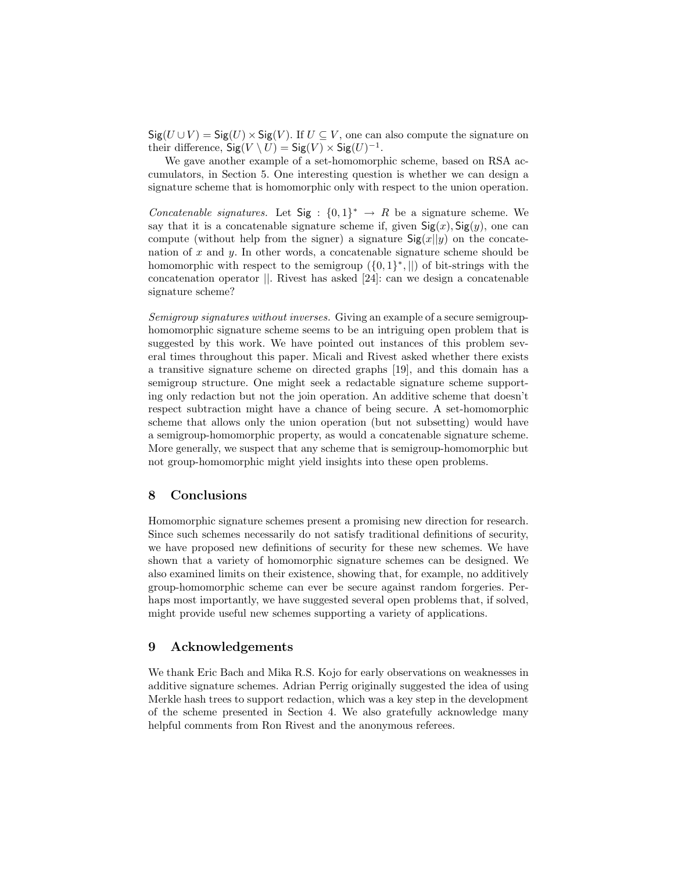$\textsf{Sig}(U \cup V) = \textsf{Sig}(U) \times \textsf{Sig}(V)$ . If  $U \subseteq V$ , one can also compute the signature on their difference,  $\operatorname{Sig}(V \setminus U) = \operatorname{Sig}(V) \times \operatorname{Sig}(U)^{-1}$ .

We gave another example of a set-homomorphic scheme, based on RSA accumulators, in Section 5. One interesting question is whether we can design a signature scheme that is homomorphic only with respect to the union operation.

Concatenable signatures. Let  $Sig : \{0,1\}^* \rightarrow R$  be a signature scheme. We say that it is a concatenable signature scheme if, given  $\mathsf{Sig}(x)$ ,  $\mathsf{Sig}(y)$ , one can compute (without help from the signer) a signature  $\text{Sig}(x||y)$  on the concatenation of x and y. In other words, a concatenable signature scheme should be homomorphic with respect to the semigroup  $({0,1}^*,||)$  of bit-strings with the concatenation operator ||. Rivest has asked [24]: can we design a concatenable signature scheme?

Semigroup signatures without inverses. Giving an example of a secure semigrouphomomorphic signature scheme seems to be an intriguing open problem that is suggested by this work. We have pointed out instances of this problem several times throughout this paper. Micali and Rivest asked whether there exists a transitive signature scheme on directed graphs [19], and this domain has a semigroup structure. One might seek a redactable signature scheme supporting only redaction but not the join operation. An additive scheme that doesn't respect subtraction might have a chance of being secure. A set-homomorphic scheme that allows only the union operation (but not subsetting) would have a semigroup-homomorphic property, as would a concatenable signature scheme. More generally, we suspect that any scheme that is semigroup-homomorphic but not group-homomorphic might yield insights into these open problems.

## 8 Conclusions

Homomorphic signature schemes present a promising new direction for research. Since such schemes necessarily do not satisfy traditional definitions of security, we have proposed new definitions of security for these new schemes. We have shown that a variety of homomorphic signature schemes can be designed. We also examined limits on their existence, showing that, for example, no additively group-homomorphic scheme can ever be secure against random forgeries. Perhaps most importantly, we have suggested several open problems that, if solved, might provide useful new schemes supporting a variety of applications.

## 9 Acknowledgements

We thank Eric Bach and Mika R.S. Kojo for early observations on weaknesses in additive signature schemes. Adrian Perrig originally suggested the idea of using Merkle hash trees to support redaction, which was a key step in the development of the scheme presented in Section 4. We also gratefully acknowledge many helpful comments from Ron Rivest and the anonymous referees.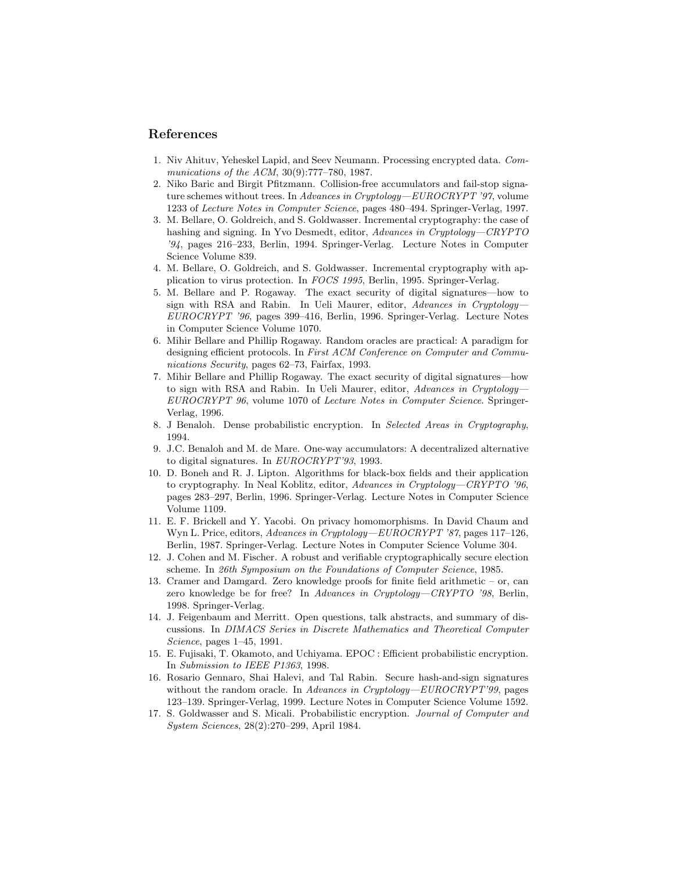## References

- 1. Niv Ahituv, Yeheskel Lapid, and Seev Neumann. Processing encrypted data. Communications of the ACM, 30(9):777–780, 1987.
- 2. Niko Baric and Birgit Pfitzmann. Collision-free accumulators and fail-stop signature schemes without trees. In Advances in Cryptology—EUROCRYPT '97, volume 1233 of Lecture Notes in Computer Science, pages 480–494. Springer-Verlag, 1997.
- 3. M. Bellare, O. Goldreich, and S. Goldwasser. Incremental cryptography: the case of hashing and signing. In Yvo Desmedt, editor, Advances in Cryptology—CRYPTO '94, pages 216–233, Berlin, 1994. Springer-Verlag. Lecture Notes in Computer Science Volume 839.
- 4. M. Bellare, O. Goldreich, and S. Goldwasser. Incremental cryptography with application to virus protection. In FOCS 1995, Berlin, 1995. Springer-Verlag.
- 5. M. Bellare and P. Rogaway. The exact security of digital signatures—how to sign with RSA and Rabin. In Ueli Maurer, editor, Advances in Cryptology— EUROCRYPT '96, pages 399–416, Berlin, 1996. Springer-Verlag. Lecture Notes in Computer Science Volume 1070.
- 6. Mihir Bellare and Phillip Rogaway. Random oracles are practical: A paradigm for designing efficient protocols. In First ACM Conference on Computer and Communications Security, pages 62–73, Fairfax, 1993.
- 7. Mihir Bellare and Phillip Rogaway. The exact security of digital signatures—how to sign with RSA and Rabin. In Ueli Maurer, editor, Advances in Cryptology-EUROCRYPT 96, volume 1070 of Lecture Notes in Computer Science. Springer-Verlag, 1996.
- 8. J Benaloh. Dense probabilistic encryption. In Selected Areas in Cryptography, 1994.
- 9. J.C. Benaloh and M. de Mare. One-way accumulators: A decentralized alternative to digital signatures. In EUROCRYPT'93, 1993.
- 10. D. Boneh and R. J. Lipton. Algorithms for black-box fields and their application to cryptography. In Neal Koblitz, editor, Advances in Cryptology—CRYPTO '96, pages 283–297, Berlin, 1996. Springer-Verlag. Lecture Notes in Computer Science Volume 1109.
- 11. E. F. Brickell and Y. Yacobi. On privacy homomorphisms. In David Chaum and Wyn L. Price, editors, Advances in Cryptology—EUROCRYPT '87, pages 117–126, Berlin, 1987. Springer-Verlag. Lecture Notes in Computer Science Volume 304.
- 12. J. Cohen and M. Fischer. A robust and verifiable cryptographically secure election scheme. In 26th Symposium on the Foundations of Computer Science, 1985.
- 13. Cramer and Damgard. Zero knowledge proofs for finite field arithmetic or, can zero knowledge be for free? In Advances in Cryptology-CRYPTO '98, Berlin, 1998. Springer-Verlag.
- 14. J. Feigenbaum and Merritt. Open questions, talk abstracts, and summary of discussions. In DIMACS Series in Discrete Mathematics and Theoretical Computer Science, pages 1–45, 1991.
- 15. E. Fujisaki, T. Okamoto, and Uchiyama. EPOC : Efficient probabilistic encryption. In Submission to IEEE P1363, 1998.
- 16. Rosario Gennaro, Shai Halevi, and Tal Rabin. Secure hash-and-sign signatures without the random oracle. In Advances in Cryptology— $EUROCRYPT'39$ , pages 123–139. Springer-Verlag, 1999. Lecture Notes in Computer Science Volume 1592.
- 17. S. Goldwasser and S. Micali. Probabilistic encryption. Journal of Computer and System Sciences, 28(2):270–299, April 1984.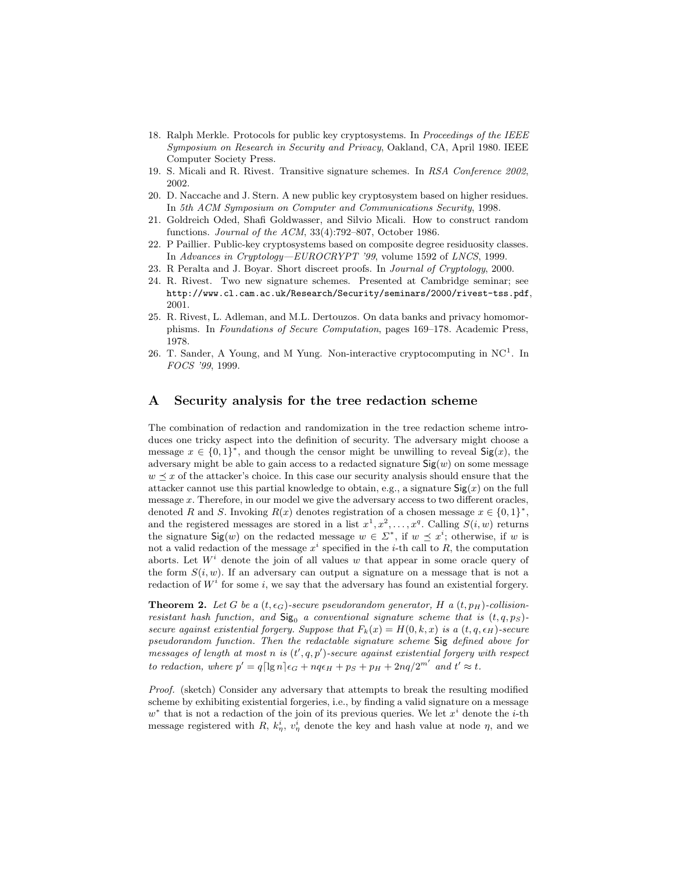- 18. Ralph Merkle. Protocols for public key cryptosystems. In Proceedings of the IEEE Symposium on Research in Security and Privacy, Oakland, CA, April 1980. IEEE Computer Society Press.
- 19. S. Micali and R. Rivest. Transitive signature schemes. In RSA Conference 2002, 2002.
- 20. D. Naccache and J. Stern. A new public key cryptosystem based on higher residues. In 5th ACM Symposium on Computer and Communications Security, 1998.
- 21. Goldreich Oded, Shafi Goldwasser, and Silvio Micali. How to construct random functions. Journal of the ACM, 33(4):792–807, October 1986.
- 22. P Paillier. Public-key cryptosystems based on composite degree residuosity classes. In Advances in Cryptology—EUROCRYPT '99, volume 1592 of LNCS, 1999.
- 23. R Peralta and J. Boyar. Short discreet proofs. In Journal of Cryptology, 2000.
- 24. R. Rivest. Two new signature schemes. Presented at Cambridge seminar; see http://www.cl.cam.ac.uk/Research/Security/seminars/2000/rivest-tss.pdf, 2001.
- 25. R. Rivest, L. Adleman, and M.L. Dertouzos. On data banks and privacy homomorphisms. In Foundations of Secure Computation, pages 169–178. Academic Press, 1978.
- 26. T. Sander, A Young, and M Yung. Non-interactive cryptocomputing in  $NC<sup>1</sup>$ . In FOCS '99, 1999.

### A Security analysis for the tree redaction scheme

The combination of redaction and randomization in the tree redaction scheme introduces one tricky aspect into the definition of security. The adversary might choose a message  $x \in \{0,1\}^*$ , and though the censor might be unwilling to reveal  $\mathsf{Sig}(x)$ , the adversary might be able to gain access to a redacted signature  $\text{Sig}(w)$  on some message  $w \preceq x$  of the attacker's choice. In this case our security analysis should ensure that the attacker cannot use this partial knowledge to obtain, e.g., a signature  $\text{Sig}(x)$  on the full message x. Therefore, in our model we give the adversary access to two different oracles, denoted R and S. Invoking  $R(x)$  denotes registration of a chosen message  $x \in \{0,1\}^*$ , and the registered messages are stored in a list  $x^1, x^2, \ldots, x^q$ . Calling  $S(i, w)$  returns the signature  $\text{Sig}(w)$  on the redacted message  $w \in \Sigma^*$ , if  $w \preceq x^i$ ; otherwise, if w is not a valid redaction of the message  $x^i$  specified in the *i*-th call to R, the computation aborts. Let  $W^i$  denote the join of all values w that appear in some oracle query of the form  $S(i, w)$ . If an adversary can output a signature on a message that is not a redaction of  $W^i$  for some i, we say that the adversary has found an existential forgery.

**Theorem 2.** Let G be a  $(t, \epsilon_G)$ -secure pseudorandom generator, H a  $(t, p_H)$ -collisionresistant hash function, and  $\text{Sig}_0$  a conventional signature scheme that is  $(t, q, p_S)$ secure against existential forgery. Suppose that  $F_k(x) = H(0, k, x)$  is a  $(t, q, \epsilon_H)$ -secure pseudorandom function. Then the redactable signature scheme Sig defined above for  $\hat{f}_n$  messages of length at most n is  $(t', q, p')$ -secure against existential forgery with respect to redaction, where  $p' = q \lceil \lg n \rceil \epsilon_G + nq\epsilon_H + ps + p_H + 2nq/2^{m'}$  and  $t' \approx t$ .

Proof. (sketch) Consider any adversary that attempts to break the resulting modified scheme by exhibiting existential forgeries, i.e., by finding a valid signature on a message  $w^*$  that is not a redaction of the join of its previous queries. We let  $x^i$  denote the *i*-th message registered with R,  $k_n^i$ ,  $v_\eta^i$  denote the key and hash value at node  $\eta$ , and we